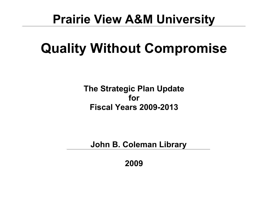## **Prairie View A&M University**

# **Quality Without Compromise**

**The Strategic Plan Update for Fiscal Years 2009-2013**

**John B. Coleman Library**

**2009**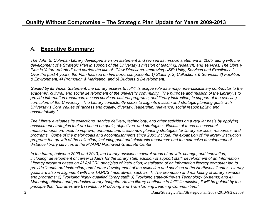#### A. **Executive Summary:**

*The John B. Coleman Library developed a vision statement and revised its mission statement in 2005, along with the development of a Strategic Plan in support of the University's mission of teaching, research, and services. The Library Plan is "future-oriented" and carries the title of "New Directions- Improving USE: Unity, Services and Excellence." Over the past 4-years, the Plan focused on five basic components: 1) Staffing, 2) Collections & Services, 3) Facilities & Environment, 4) Promotion & Marketing, and 5) Budgets & Development.*

*Guided by its Vision Statement, the Library aspires to fulfill its unique role as a major interdisciplinary contributor to the academic, cultural, and social development of the university community. The purpose and mission of the Library is to provide information resources, access services, cultural programs, and library instruction, in support of the evolving curriculum of the University. The Library consistently seeks to align its mission and strategic planning goals with University's Core Values of "access and quality, diversity, leadership, relevance, social responsibility, and accountability."*

*The Library evaluates its collections, service delivery, technology, and other activities on a regular basis by applying assessment strategies that are based on goals, objectives, and strategies. Results of these assessment measurements are used to improve, enhance, and create new planning strategies for library services, resources, and programs. Some of the major goals and accomplishments since 2005 include: the expansion of the library instruction program; the growth of the collection, including print and electronic resources; and the extensive development of distance library services at the PVAMU Northwest Graduate Center.*

*In the future, between 2009 and 2013, the Library envisions several areas of growth, change, and innovation, including: development of career ladders for the library staff; addition of support staff; development of an Information Literacy program based on ALA/ACRL principles of instruction; installation of an information literacy computer lab to provide "hands-on" instruction; and further development of the collection and services at the Northwest Center. Library goals are also in alignment with the TAMUS Imperatives, such as: 1) The promotion and marketing of library services and programs; 2) Providing highly qualified library staff; 3) Providing state-of-the-art Technology Systems; and 4) Managing efficient and productive library budgets. As the library continues to fulfill its mission, it will be guided by the principle that, "Libraries are Essential to Producing and Transforming Learning Communities."*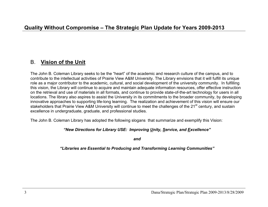#### B. **Vision of the Unit**

The John B. Coleman Library seeks to be the "heart" of the academic and research culture of the campus, and to contribute to the intellectual activities of Prairie View A&M University. The Library envisions that it will fulfill its unique role as a major contributor to the academic, cultural, and social development of the university community. In fulfilling this vision, the Library will continue to acquire and maintain adequate information resources, offer effective instruction on the retrieval and use of materials in all formats, and continue to provide state-of-the-art technology for users in all locations. The library also aspires to assist the University in its commitments to the broader community, by developing innovative approaches to supporting life-long learning. The realization and achievement of this vision will ensure our stakeholders that Prairie View A&M University will continue to meet the challenges of the 21<sup>st</sup> century, and sustain excellence in undergraduate, graduate, and professional studies.

The John B. Coleman Library has adopted the following slogans that summarize and exemplify this Vision:

#### *"New Directions for Library USE: Improving Unity, Service, and Excellence"*

*and*

#### *"Libraries are Essential to Producing and Transforming Learning Communities"*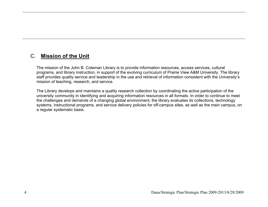#### C. **Mission of the Unit**

The mission of the John B. Coleman Library is to provide information resources, access services, cultural programs, and library instruction, in support of the evolving curriculum of Prairie View A&M University. The library staff provides quality service and leadership in the use and retrieval of information consistent with the University's mission of teaching, research, and service.

The Library develops and maintains a quality research collection by coordinating the active participation of the university community in identifying and acquiring information resources in all formats. In order to continue to meet the challenges and demands of a changing global environment, the library evaluates its collections, technology systems, instructional programs, and service delivery policies for off-campus sites, as well as the main campus, on a regular systematic basis.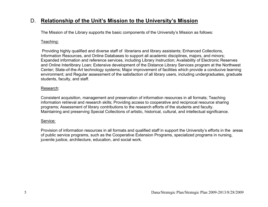## D. **Relationship of the Unit's Mission to the University's Mission**

The Mission of the Library supports the basic components of the University's Mission as follows:

#### Teaching:

 Providing highly qualified and diverse staff of librarians and library assistants; Enhanced Collections, Information Resources, and Online Databases to support all academic disciplines, majors, and minors; Expanded information and reference services, including Library Instruction; Availability of Electronic Reserves and Online Interlibrary Loan; Extensive development of the Distance Library Services program at the Northwest Center; State-of-the-Art technology systems; Major improvement of facilities which provide a conducive learning environment; and Regular assessment of the satisfaction of all library users, including undergraduates, graduate students, faculty, and staff.

#### Research:

Consistent acquisition, management and preservation of information resources in all formats; Teaching information retrieval and research skills; Providing access to cooperative and reciprocal resource sharing programs; Assessment of library contributions to the research efforts of the students and faculty. Maintaining and preserving Special Collections of artistic, historical, cultural, and intellectual significance.

#### Service:

Provision of information resources in all formats and qualified staff in support the University's efforts in the areas of public service programs, such as the Cooperative Extension Programs, specialized programs in nursing, juvenile justice, architecture, education, and social work.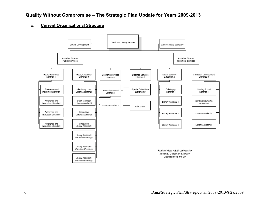#### E. **Current Organizational Structure**

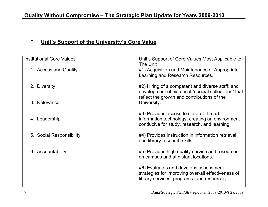## F. **Unit's Support of the University's Core Value**

| <b>Institutional Core Values</b> | Unit's Support of Core Values Most Applicable to<br>The Unit                                                                                            |
|----------------------------------|---------------------------------------------------------------------------------------------------------------------------------------------------------|
| 1. Access and Quality            | #1) Acquisition and Maintenance of Appropriate<br>Learning and Research Resources.                                                                      |
| 2. Diversity                     | #2) Hiring of a competent and diverse staff; and<br>development of historical "special collections" that<br>reflect the growth and contributions of the |
| 3. Relevance                     | University.                                                                                                                                             |
| 4. Leadership                    | #3) Provides access to state-of-the-art<br>information technology; creating an environment<br>conducive for study, research, and learning.              |
| 5. Social Responsibility         | #4) Provides instruction in information retrieval<br>and library research skills.                                                                       |
| 6. Accountability                | #5) Provides high quality service and resources<br>on campus and at distant locations.                                                                  |
|                                  | #6) Evaluates and develops assessment<br>strategies for improving over-all effectiveness of<br>library services, programs, and resources.               |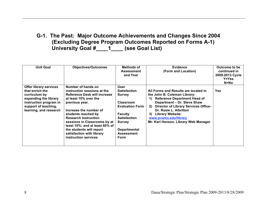## **G-1. The Past: Major Outcome Achievements and Changes Since 2004 (Excluding Degree Program Outcomes Reported on Forms A-1) University Goal #\_\_\_\_1\_\_\_\_ (see Goal List)**

| <b>Unit Goal</b>                                                                                                                                                       | <b>Objectives/Outcomes</b>                                                                                                                                                                                                                                                                                                                                             | Methods of<br><b>Assessment</b><br>and Year                                                                                                                                                       | <b>Evidence</b><br>(Form and Location)                                                                                                                                                                                                                                                                                                  | Outcome to be<br>continued in<br>2009-2013 Cycle<br>$Y = Yes$<br>N=No |
|------------------------------------------------------------------------------------------------------------------------------------------------------------------------|------------------------------------------------------------------------------------------------------------------------------------------------------------------------------------------------------------------------------------------------------------------------------------------------------------------------------------------------------------------------|---------------------------------------------------------------------------------------------------------------------------------------------------------------------------------------------------|-----------------------------------------------------------------------------------------------------------------------------------------------------------------------------------------------------------------------------------------------------------------------------------------------------------------------------------------|-----------------------------------------------------------------------|
| <b>Offer library services</b><br>that enrich the<br>curriculum by<br>expanding the library<br>instruction program in<br>support of teaching,<br>learning, and research | Number of hands on<br>instruction sessions at the<br><b>Reference Desk will increase</b><br>at least 10% over the<br>previous year.<br>Increase the number of<br>students reached by<br><b>Research Instruction</b><br>sessions in Classrooms by at<br>least 10%; and at least 60% of<br>the students will report<br>satisfaction with library<br>instruction services | User<br><b>Satisfaction</b><br><b>Survey</b><br><b>Classroom</b><br><b>Evaluation Form</b><br><b>Faculty</b><br><b>Satisfaction</b><br><b>Survey</b><br><b>Departmental</b><br>Assessment<br>Form | All Forms and Results are located in<br>the John B. Coleman Library:<br><b>Reference Department Head of</b><br>1)<br>Department - Dr. Steve Shaw<br><b>Director of Library Services Office-</b><br><b>2</b><br>Dr. Rosie L. Albritton<br><b>Library Website:</b><br>3)<br>www.pvamu.edu/library<br>Mr. Karl Henson, Library Web Manager | <b>Yes</b>                                                            |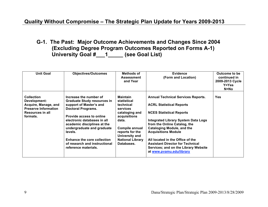**G-1. The Past: Major Outcome Achievements and Changes Since 2004 (Excluding Degree Program Outcomes Reported on Forms A-1) University Goal #\_\_\_1\_\_\_\_\_ (see Goal List)**

| <b>Unit Goal</b>                                                                                                                | <b>Objectives/Outcomes</b>                                                                                                                                                                                                                                                                                                                                    | Methods of<br><b>Assessment</b><br>and Year                                                                                                                                                        | <b>Evidence</b><br>(Form and Location)                                                                                                                                                                                                                                                                                                                                                                              | Outcome to be<br>continued in<br>2009-2013 Cycle<br>$Y = Yes$<br>N=No |
|---------------------------------------------------------------------------------------------------------------------------------|---------------------------------------------------------------------------------------------------------------------------------------------------------------------------------------------------------------------------------------------------------------------------------------------------------------------------------------------------------------|----------------------------------------------------------------------------------------------------------------------------------------------------------------------------------------------------|---------------------------------------------------------------------------------------------------------------------------------------------------------------------------------------------------------------------------------------------------------------------------------------------------------------------------------------------------------------------------------------------------------------------|-----------------------------------------------------------------------|
| <b>Collection</b><br>Development:<br>Acquire, Manage, and<br><b>Preserve Information</b><br><b>Resources in all</b><br>formats. | Increase the number of<br><b>Graduate Study resources in</b><br>support of Master's and<br><b>Doctoral Programs.</b><br><b>Provide access to online</b><br>electronic databases in all<br>academic disciplines at the<br>undergraduate and graduate<br>levels.<br><b>Enhance the core collection</b><br>of research and instructional<br>reference materials. | <b>Maintain</b><br>statistical<br>technical<br>services<br>cataloging and<br>acquisitions<br>data.<br>Compile annual<br>reports for the<br>University and<br><b>National Library</b><br>Databases. | <b>Annual Technical Services Reports.</b><br><b>ACRL Statistical Reports</b><br><b>NCES Statistical Reports</b><br><b>Integrated Library System Data Logs</b><br>from the Online Catalog, the<br><b>Cataloging Module, and the</b><br><b>Acquisitions Module</b><br>All located in the Office of the<br><b>Assistant Director for Technical</b><br>Services; and on the Library Website<br>at www.pvamu.edu/library | <b>Yes</b>                                                            |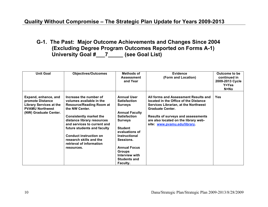**G-1. The Past: Major Outcome Achievements and Changes Since 2004 (Excluding Degree Program Outcomes Reported on Forms A-1) University Goal #\_\_\_7\_\_\_\_\_ (see Goal List)**

| <b>Unit Goal</b>                                                                                                              | <b>Objectives/Outcomes</b>                                                                                                                                                                                                                                                                                                                  | Methods of<br><b>Assessment</b><br>and Year                                                                                                                                                                                                                                                         | <b>Evidence</b><br>(Form and Location)                                                                                                                                                                                                                                       | Outcome to be<br>continued in<br>2009-2013 Cycle<br><b>Y=Yes</b><br>N=No |
|-------------------------------------------------------------------------------------------------------------------------------|---------------------------------------------------------------------------------------------------------------------------------------------------------------------------------------------------------------------------------------------------------------------------------------------------------------------------------------------|-----------------------------------------------------------------------------------------------------------------------------------------------------------------------------------------------------------------------------------------------------------------------------------------------------|------------------------------------------------------------------------------------------------------------------------------------------------------------------------------------------------------------------------------------------------------------------------------|--------------------------------------------------------------------------|
| Expand, enhance, and<br>promote Distance<br><b>Library Services at the</b><br><b>PVAMU Northwest</b><br>(NW) Graduate Center. | Increase the number of<br>volumes available in the<br><b>Resource/Reading Room at</b><br>the NW Center.<br><b>Consistently market the</b><br>distance library resources<br>and services to current and<br>future students and faculty<br><b>Conduct instruction on</b><br>research skills and the<br>retrieval of information<br>resources. | <b>Annual User</b><br><b>Satisfaction</b><br><b>Surveys</b><br><b>Annual Faculty</b><br><b>Satisfaction</b><br><b>Surveys</b><br><b>Student</b><br>evaluations of<br><b>Instructional</b><br>Sessions.<br><b>Annual Focus</b><br><b>Groups</b><br>Interview with<br><b>Students and</b><br>Faculty. | All forms and Assessment Results and<br>located in the Office of the Distance<br><b>Services Librarian, at the Northwest</b><br><b>Graduate Center.</b><br><b>Results of surveys and assessments</b><br>are also located on the library web-<br>site: www.pvamu.edu/library. | <b>Yes</b>                                                               |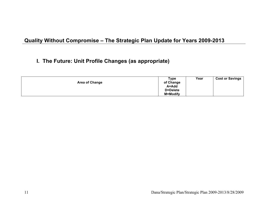## **I. The Future: Unit Profile Changes (as appropriate)**

| <b>Area of Change</b> | <b>Type</b><br>of Change | Year | <b>Cost or Savings</b> |
|-----------------------|--------------------------|------|------------------------|
|                       | A=Add                    |      |                        |
|                       | D=Delete                 |      |                        |
|                       | <b>M=Modify</b>          |      |                        |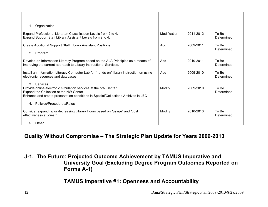| Organization<br>1.                                                                                                                                                                                              |              |           |                     |
|-----------------------------------------------------------------------------------------------------------------------------------------------------------------------------------------------------------------|--------------|-----------|---------------------|
| Expand Professional Librarian Classification Levels from 2 to 4.<br>Expand Support Staff Library Assistant Levels from 2 to 4.                                                                                  | Modification | 2011-2012 | To Be<br>Determined |
| Create Additional Support Staff Library Assistant Positions                                                                                                                                                     | Add          | 2009-2011 | To Be<br>Determined |
| 2. Program                                                                                                                                                                                                      |              |           |                     |
| Develop an Information Literacy Program based on the ALA Principles as a means of<br>improving the current approach to Library Instructional Services.                                                          | Add          | 2010-2011 | To Be<br>Determined |
| Install an Information Literacy Computer Lab for "hands-on" library instruction on using<br>electronic resources and databases.                                                                                 | Add          | 2009-2010 | To Be<br>Determined |
| 3. Services<br>Provide online electronic circulation services at the NW Center.<br>Expand the Collection at the NW Center.<br>Enhance and create preservation conditions in Special/Collections Archives in JBC | Modify       | 2009-2010 | To Be<br>Determined |
| 4. Policies/Procedures/Rules                                                                                                                                                                                    |              |           |                     |
| Consider expanding or decreasing Library Hours based on "usage" and "cost<br>effectiveness studies."                                                                                                            | Modify       | 2010-2013 | To Be<br>Determined |
| 5. Other                                                                                                                                                                                                        |              |           |                     |

**J-1. The Future: Projected Outcome Achievement by TAMUS Imperative and University Goal (Excluding Degree Program Outcomes Reported on Forms A-1)**

## **TAMUS Imperative #1: Openness and Accountability**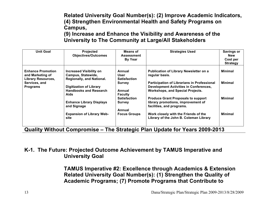**Related University Goal Number(s): (2) Improve Academic Indicators, (4) Strengthen Environmental Health and Safety Programs on Campus,**

**(9) Increase and Enhance the Visibility and Awareness of the University to The Community at Large/All Stakeholders**

| <b>Unit Goal</b>                                                                           | <b>Projected</b><br><b>Objectives/Outcomes</b>                                    | <b>Means of</b><br><b>Assessment</b><br><b>By Year</b> | <b>Strategies Used</b>                                                                                                | Savings or<br><b>New</b><br>Cost per<br><b>Strategy</b> |
|--------------------------------------------------------------------------------------------|-----------------------------------------------------------------------------------|--------------------------------------------------------|-----------------------------------------------------------------------------------------------------------------------|---------------------------------------------------------|
| <b>Enhance Promotion</b><br>and Marketing of<br><b>Library Resources,</b><br>Services, and | <b>Increased Visibility on</b><br>Campus, Statewide,<br>Regionally, and National. | Annual<br>User<br><b>Satisfaction</b><br><b>Survey</b> | <b>Publication of Library Newsletter on a</b><br>regular basis.<br><b>Participation of Librarians in Professional</b> | <b>Minimal</b><br><b>Minimal</b>                        |
| <b>Programs</b>                                                                            | <b>Digitization of Library</b><br><b>Handbooks and Research</b><br>Aids           | Annual<br><b>Faculty</b>                               | <b>Development Activities in Conferences,</b><br><b>Workshops, and Special Projects.</b>                              |                                                         |
|                                                                                            | <b>Enhance Library Displays</b><br>and Signage                                    | <b>Satisfaction</b><br><b>Survey</b><br>Annual         | <b>Produce Grant Proposals to support</b><br>library promotions, improvement of<br>facilities, and programs.          | <b>Minimal</b>                                          |
|                                                                                            | <b>Expansion of Library Web-</b><br>site                                          | <b>Focus Groups</b>                                    | Work closely with the Friends of the<br>Library of the John B. Coleman Library                                        | <b>Minimal</b>                                          |

**Quality Without Compromise – The Strategic Plan Update for Years 2009-2013**

#### **K-1. The Future: Projected Outcome Achievement by TAMUS Imperative and University Goal**

**TAMUS Imperative #2: Excellence through Academics & Extension Related University Goal Number(s): (1) Strengthen the Quality of Academic Programs; (7) Promote Programs that Contribute to**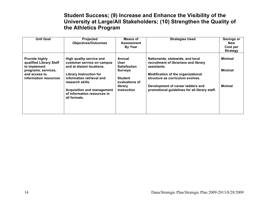#### **Student Success; (9) Increase and Enhance the Visibility of the University at Large/All Stakeholders; (10) Strengthen the Quality of the Athletics Program**

| <b>Unit Goal</b>                                                                                                                  | <b>Projected</b><br><b>Objectives/Outcomes</b>                                                                                                                                                                                                             | <b>Means of</b><br><b>Assessment</b><br><b>By Year</b>                                                                | <b>Strategies Used</b>                                                                                                                                                                                                                                   | Savings or<br><b>New</b><br>Cost per<br><b>Strategy</b> |
|-----------------------------------------------------------------------------------------------------------------------------------|------------------------------------------------------------------------------------------------------------------------------------------------------------------------------------------------------------------------------------------------------------|-----------------------------------------------------------------------------------------------------------------------|----------------------------------------------------------------------------------------------------------------------------------------------------------------------------------------------------------------------------------------------------------|---------------------------------------------------------|
| <b>Provide highly</b><br>qualified Library Staff<br>to implement<br>programs, services,<br>and access to<br>information resources | High quality service and<br>customer service on campus<br>and at distant locations.<br><b>Library Instruction for</b><br>information retrieval and<br>research skills.<br><b>Acquisition and management</b><br>of information resources in<br>all formats. | Annual<br>User<br><b>Satisfaction</b><br><b>Surveys</b><br><b>Student</b><br>evaluations of<br>library<br>instruction | Nationwide, statewide, and local<br>recruitment of librarians and library<br>assistants.<br>Modification of the organizational<br>structure as curriculum evolves.<br>Development of career ladders and<br>promotional guidelines for all library staff. | <b>Minimal</b><br><b>Minimal</b><br>Mnimal              |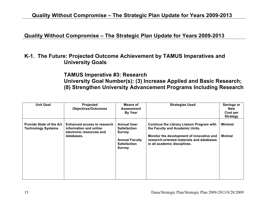#### **Quality Without Compromise – The Strategic Plan Update for Years 2009-2013**

#### **K-1. The Future: Projected Outcome Achievement by TAMUS Imperatives and University Goals**

### **TAMUS Imperative #3: Research University Goal Number(s): (3) Increase Applied and Basic Research; (8) Strengthen University Advancement Programs Including Research**

| <b>Unit Goal</b>                                             | <b>Projected</b><br><b>Objectives/Outcomes</b>                                                         | <b>Means of</b><br><b>Assessment</b><br><b>By Year</b>                                                                      | <b>Strategies Used</b>                                                                                                                                                                                        | <b>Savings or</b><br><b>New</b><br>Cost per<br><b>Strategy</b> |
|--------------------------------------------------------------|--------------------------------------------------------------------------------------------------------|-----------------------------------------------------------------------------------------------------------------------------|---------------------------------------------------------------------------------------------------------------------------------------------------------------------------------------------------------------|----------------------------------------------------------------|
| <b>Provide State of the Art</b><br><b>Technology Systems</b> | <b>Enhanced access to research</b><br>information and online<br>electronic resources and<br>databases. | <b>Annual User</b><br><b>Satisfaction</b><br><b>Survey</b><br><b>Annual Faculty</b><br><b>Satisfaction</b><br><b>Survey</b> | <b>Continue the Library Liaison Program with</b><br>the Faculty and Academic Units.<br>Monitor the development of innovative and<br>research-oriented materials and databases<br>in all academic disciplines. | <b>Minimal</b><br><b>Mnimal</b>                                |